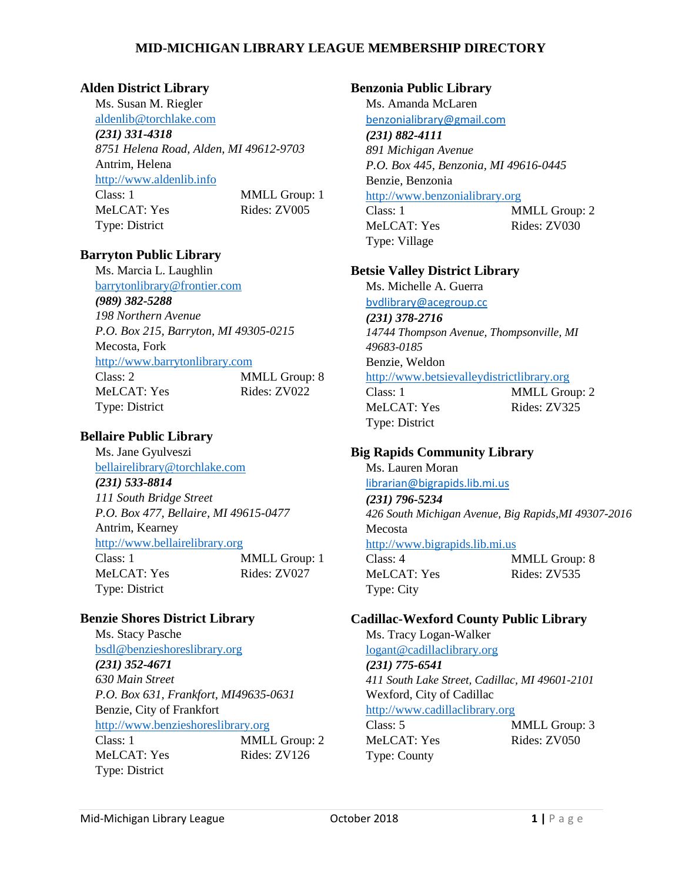#### **Alden District Library**

Ms. Susan M. Riegler [aldenlib@torchlake.com](mailto:aldenlib@torchlake.com) *(231) 331-4318 8751 Helena Road, Alden, MI 49612-9703* Antrim, Helena [http://www.aldenlib.info](http://www.aldenlib.info/) Class: 1 MMLL Group: 1 MeLCAT: Yes Rides: ZV005 Type: District

### **Barryton Public Library**

Ms. Marcia L. Laughlin [barrytonlibrary@frontier.com](mailto:barrytonlibrary@frontier.com) *(989) 382-5288 198 Northern Avenue P.O. Box 215, Barryton, MI 49305-0215* Mecosta, Fork [http://www.barrytonlibrary.com](http://www.barrytonlibrary.com/) Class: 2 MMLL Group: 8 MeLCAT: Yes Rides: ZV022 Type: District

# **Bellaire Public Library**

Ms. Jane Gyulveszi [bellairelibrary@torchlake.com](mailto:bellairelibrary@torchlake.com) *(231) 533-8814 111 South Bridge Street P.O. Box 477, Bellaire, MI 49615-0477* Antrim, Kearney [http://www.bellairelibrary.org](http://www.bellairelibrary.org/) Class: 1 MMLL Group: 1 MeLCAT: Yes Rides: ZV027 Type: District

### **Benzie Shores District Library**

Ms. Stacy Pasche [bsdl@benzieshoreslibrary.org](mailto:bsdl@benzieshoreslibrary.org) *(231) 352-4671 630 Main Street P.O. Box 631, Frankfort, MI49635-0631* Benzie, City of Frankfort [http://www.benzieshoreslibrary.org](http://www.benzieshoreslibrary.org/) Class: 1 MMLL Group: 2 MeLCAT: Yes Rides: ZV126 Type: District

#### **Benzonia Public Library**

Ms. Amanda McLaren [benzonialibrary@gmail.com](mailto:benzonialibrary@gmail.com)

#### *(231) 882-4111*

*891 Michigan Avenue P.O. Box 445, Benzonia, MI 49616-0445* Benzie, Benzonia

## [http://www.benzonialibrary.org](http://www.benzonialibrary.org/)

MeLCAT: Yes Rides: ZV030 Type: Village

Class: 1 MMLL Group: 2

#### **Betsie Valley District Library**

Ms. Michelle A. Guerra [bvdlibrary@acegroup.cc](mailto:bvdlibrary@acegroup.cc)

*(231) 378-2716 14744 Thompson Avenue, Thompsonville, MI 49683-0185* Benzie, Weldon [http://www.betsievalleydistrictlibrary.org](http://www.betsievalleydistrictlibrary.org/) Class: 1 MMLL Group: 2

Type: District

MeLCAT: Yes Rides: ZV325

# **Big Rapids Community Library**

Ms. Lauren Moran [librarian@bigrapids.lib.mi.us](mailto:librarian@bigrapids.lib.mi.us) *(231) 796-5234 426 South Michigan Avenue, Big Rapids,MI 49307-2016* Mecosta [http://www.bigrapids.lib.mi.us](http://www.bigrapids.lib.mi.us/) Class: 4 MMLL Group: 8 MeLCAT: Yes Rides: ZV535 Type: City

### **Cadillac-Wexford County Public Library**

Ms. Tracy Logan-Walker [logant@cadillaclibrary.org](mailto:logant@cadillaclibrary.org) *(231) 775-6541 411 South Lake Street, Cadillac, MI 49601-2101* Wexford, City of Cadillac [http://www.cadillaclibrary.org](http://www.cadillaclibrary.org/) Class: 5 MMLL Group: 3

MeLCAT: Yes Rides: ZV050 Type: County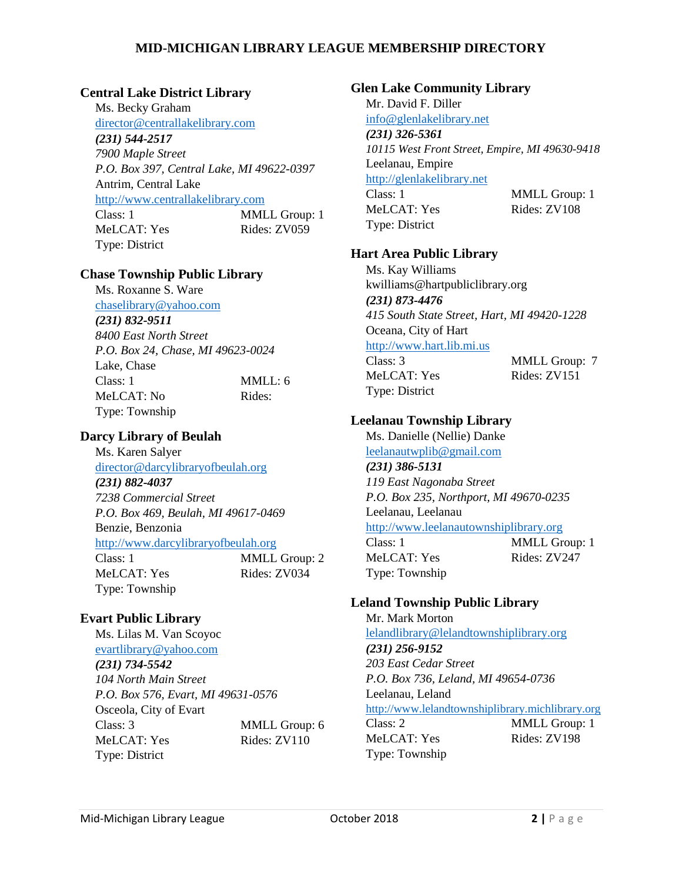### **Central Lake District Library**

Ms. Becky Graham [director@centrallakelibrary.com](mailto:director@centrallakelibrary.com) *(231) 544-2517 7900 Maple Street P.O. Box 397, Central Lake, MI 49622-0397* Antrim, Central Lake [http://www.centrallakelibrary.com](http://www.centrallakelibrary.com/) Class: 1 MMLL Group: 1 MeLCAT: Yes Rides: ZV059 Type: District

### **Chase Township Public Library**

Ms. Roxanne S. Ware

[chaselibrary@yahoo.com](mailto:chaselibrary@yahoo.com) *(231) 832-9511 8400 East North Street P.O. Box 24, Chase, MI 49623-0024* Lake, Chase Class: 1 MMLL: 6 MeLCAT: No Rides: Type: Township

# **Darcy Library of Beulah**

Ms. Karen Salyer [director@darcylibraryofbeulah.org](mailto:director@darcylibraryofbeulah.org) *(231) 882-4037 7238 Commercial Street P.O. Box 469, Beulah, MI 49617-0469* Benzie, Benzonia [http://www.darcylibraryofbeulah.org](http://www.darcylibraryofbeulah.org/) Class: 1 MMLL Group: 2 MeLCAT: Yes Rides: ZV034 Type: Township

# **Evart Public Library**

Ms. Lilas M. Van Scoyoc [evartlibrary@yahoo.com](mailto:evartlibrary@yahoo.com) *(231) 734-5542 104 North Main Street P.O. Box 576, Evart, MI 49631-0576* Osceola, City of Evart Class: 3 MMLL Group: 6 MeLCAT: Yes Rides: ZV110 Type: District

## **Glen Lake Community Library**

Mr. David F. Diller [info@glenlakelibrary.net](mailto:info@glenlakelibrary.net) *(231) 326-5361 10115 West Front Street, Empire, MI 49630-9418* Leelanau, Empire [http://glenlakelibrary.net](http://glenlakelibrary.net/) Class: 1 MMLL Group: 1 MeLCAT: Yes Rides: ZV108 Type: District

## **Hart Area Public Library**

Ms. Kay Williams kwilliams@hartpubliclibrary.org *(231) 873-4476 415 South State Street, Hart, MI 49420-1228* Oceana, City of Hart [http://www.hart.lib.mi.us](http://www.hart.lib.mi.us/) Class: 3 MMLL Group: 7 MeLCAT: Yes Rides: ZV151 Type: District

# **Leelanau Township Library**

Ms. Danielle (Nellie) Danke [leelanautwplib@gmail.com](mailto:leelanautwplib@gmail.com) *(231) 386-5131 119 East Nagonaba Street P.O. Box 235, Northport, MI 49670-0235* Leelanau, Leelanau [http://www.leelanautownshiplibrary.org](http://www.leelanautownshiplibrary.org/) Class: 1 MMLL Group: 1 MeLCAT: Yes Rides: ZV247 Type: Township

# **Leland Township Public Library**

Mr. Mark Morton [lelandlibrary@lelandtownshiplibrary.org](mailto:lelandlibrary@lelandtownshiplibrary.org) *(231) 256-9152 203 East Cedar Street P.O. Box 736, Leland, MI 49654-0736* Leelanau, Leland [http://www.lelandtownshiplibrary.michlibrary.org](http://www.lelandtownshiplibrary.michlibrary.org/) Class: 2 MMLL Group: 1 MeLCAT: Yes Rides: ZV198 Type: Township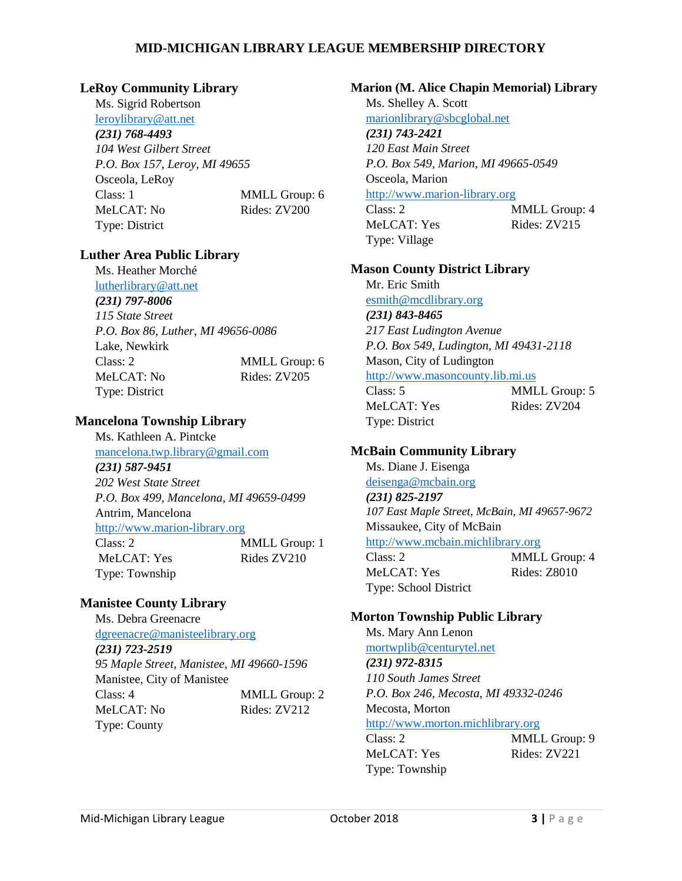#### **LeRoy Community Library**

Ms. Sigrid Robertson [leroylibrary@att.net](mailto:leroylibrary@att.net)

#### *(231) 768-4493*

*104 West Gilbert Street P.O. Box 157, Leroy, MI 49655* Osceola, LeRoy Class: 1 MMLL Group: 6 MeLCAT: No Rides: ZV200 Type: District

#### **Luther Area Public Library**

Ms. Heather Morché [lutherlibrary@att.net](mailto:lutherlibrary@att.net) *(231) 797-8006 115 State Street P.O. Box 86, Luther, MI 49656-0086* Lake, Newkirk Class: 2 MMLL Group: 6 MeLCAT: No Rides: ZV205 Type: District

#### **Mancelona Township Library**

Ms. Kathleen A. Pintcke [mancelona.twp.library@gmail.com](mailto:mancelona.twp.library@gmail.com) *(231) 587-9451 202 West State Street P.O. Box 499, Mancelona, MI 49659-0499* Antrim, Mancelona [http://www.marion-library.org](http://www.marion-library.org/) Class: 2 MMLL Group: 1 MeLCAT: Yes Rides ZV210 Type: Township

### **Manistee County Library**

Ms. Debra Greenacre [dgreenacre@manisteelibrary.org](mailto:dgreenacre@manisteelibrary.org) *(231) 723-2519 95 Maple Street, Manistee, MI 49660-1596* Manistee, City of Manistee Class: 4 MMLL Group: 2 MeLCAT: No Rides: ZV212 Type: County

#### **Marion (M. Alice Chapin Memorial) Library**

Ms. Shelley A. Scott [marionlibrary@sbcglobal.net](mailto:marionlibrary@sbcglobal.net) *(231) 743-2421 120 East Main Street P.O. Box 549, Marion, MI 49665-0549*

Osceola, Marion [http://www.marion-library.org](http://www.marion-library.org/)

Class: 2 MMLL Group: 4 MeLCAT: Yes Rides: ZV215 Type: Village

#### **Mason County District Library**

Mr. Eric Smith [esmith@mcdlibrary.org](mailto:esmith@mcdlibrary.org) *(231) 843-8465 217 East Ludington Avenue P.O. Box 549, Ludington, MI 49431-2118* Mason, City of Ludington [http://www.masoncounty.lib.mi.us](http://www.masoncounty.lib.mi.us/) Class: 5 MMLL Group: 5

MeLCAT: Yes Rides: ZV204 Type: District

### **McBain Community Library**

Ms. Diane J. Eisenga [deisenga@mcbain.org](mailto:deisenga@mcbain.org)

*(231) 825-2197 107 East Maple Street, McBain, MI 49657-9672* Missaukee, City of McBain [http://www.mcbain.michlibrary.org](http://www.mcbain.michlibrary.org/)

Class: 2 MMLL Group: 4 MeLCAT: Yes Rides: Z8010 Type: School District

### **Morton Township Public Library**

Ms. Mary Ann Lenon [mortwplib@centurytel.net](mailto:mortwplib@centurytel.net) *(231) 972-8315 110 South James Street P.O. Box 246, Mecosta, MI 49332-0246* Mecosta, Morton [http://www.morton.michlibrary.org](http://www.morton.michlibrary.org/) Class: 2 MMLL Group: 9 MeLCAT: Yes Rides: ZV221

Type: Township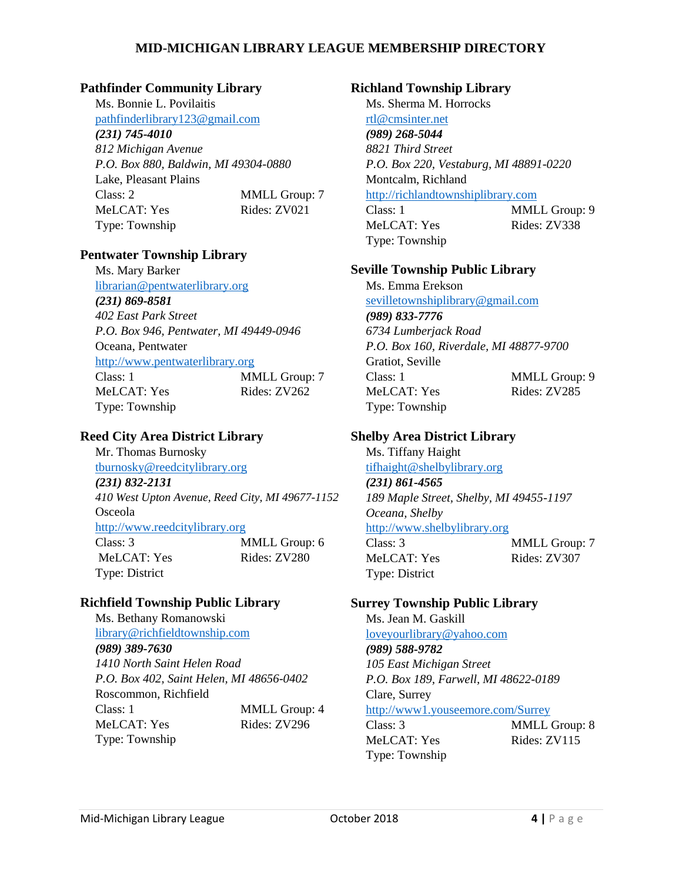#### **Pathfinder Community Library**

Ms. Bonnie L. Povilaitis [pathfinderlibrary123@gmail.com](mailto:pathfinderlibrary123@gmail.com) *(231) 745-4010 812 Michigan Avenue P.O. Box 880, Baldwin, MI 49304-0880* Lake, Pleasant Plains Class: 2 MMLL Group: 7 MeLCAT: Yes Rides: ZV021 Type: Township

#### **Pentwater Township Library**

Ms. Mary Barker [librarian@pentwaterlibrary.org](mailto:librarian@pentwaterlibrary.org) *(231) 869-8581 402 East Park Street P.O. Box 946, Pentwater, MI 49449-0946* Oceana, Pentwater [http://www.pentwaterlibrary.org](http://www.pentwaterlibrary.org/)  Class: 1 MMLL Group: 7 MeLCAT: Yes Rides: ZV262 Type: Township

## **Reed City Area District Library**

Mr. Thomas Burnosky [tburnosky@reedcitylibrary.org](mailto:tburnosky@reedcitylibrary.org) *(231) 832-2131 410 West Upton Avenue, Reed City, MI 49677-1152* Osceola [http://www.reedcitylibrary.org](http://www.reedcitylibrary.org/) Class: 3 MMLL Group: 6 MeLCAT: Yes Rides: ZV280 Type: District

### **Richfield Township Public Library**

Ms. Bethany Romanowski [library@richfieldtownship.com](mailto:library@richfieldtownship.com) *(989) 389-7630 1410 North Saint Helen Road P.O. Box 402, Saint Helen, MI 48656-0402* Roscommon, Richfield Class: 1 MMLL Group: 4 MeLCAT: Yes Rides: ZV296 Type: Township

#### **Richland Township Library**

Ms. Sherma M. Horrocks [rtl@cmsinter.net](mailto:rtl@cmsinter.net) *(989) 268-5044 8821 Third Street P.O. Box 220, Vestaburg, MI 48891-0220* Montcalm, Richland [http://richlandtownshiplibrary.com](http://richlandtownshiplibrary.com/)

Class: 1 MMLL Group: 9 MeLCAT: Yes Rides: ZV338 Type: Township

#### **Seville Township Public Library**

Ms. Emma Erekson [sevilletownshiplibrary@gmail.com](mailto:sevilletownshiplibrary@gmail.com) *(989) 833-7776 6734 Lumberjack Road P.O. Box 160, Riverdale, MI 48877-9700* Gratiot, Seville Class: 1 MMLL Group: 9 MeLCAT: Yes Rides: ZV285 Type: Township

#### **Shelby Area District Library**

Ms. Tiffany Haight [tifhaight@shelbylibrary.org](mailto:tifhaight@shelbylibrary.org) *(231) 861-4565 189 Maple Street, Shelby, MI 49455-1197 Oceana, Shelby* [http://www.shelbylibrary.org](http://www.shelbylibrary.org/) Class: 3 MMLL Group: 7 MeLCAT: Yes Rides: ZV307 Type: District

### **Surrey Township Public Library**

Ms. Jean M. Gaskill [loveyourlibrary@yahoo.com](mailto:loveyourlibrary@yahoo.com) *(989) 588-9782 105 East Michigan Street P.O. Box 189, Farwell, MI 48622-0189* Clare, Surrey <http://www1.youseemore.com/Surrey> Class: 3 MMLL Group: 8 MeLCAT: Yes Rides: ZV115

Type: Township